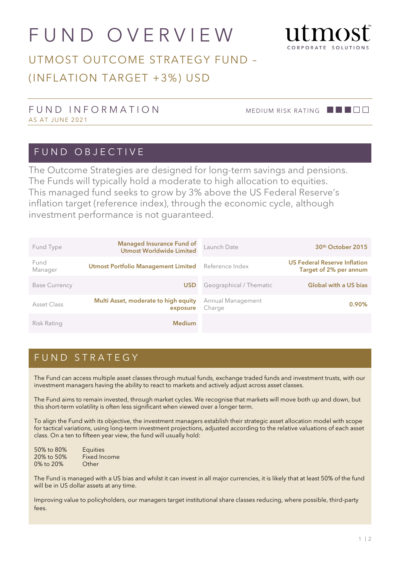# FUND OVERVIEW



## UTMOST OUTCOME STRATEGY FUND – (INFLATION TARGET +3%) USD

#### FUND INFORMATION MEDIUM RISK RATING **ALLERY** AS AT JUNE 2021

#### FUND OBJECTIVE

The Outcome Strategies are designed for long-term savings and pensions. The Funds will typically hold a moderate to high allocation to equities. This managed fund seeks to grow by 3% above the US Federal Reserve's inflation target (reference index), through the economic cycle, although investment performance is not guaranteed.

| Fund Type            | <b>Managed Insurance Fund of</b><br><b>Utmost Worldwide Limited</b> | Launch Date                 | 30 <sup>th</sup> October 2015                                 |
|----------------------|---------------------------------------------------------------------|-----------------------------|---------------------------------------------------------------|
| Fund<br>Manager      | <b>Utmost Portfolio Management Limited</b>                          | Reference Index             | <b>US Federal Reserve Inflation</b><br>Target of 2% per annum |
| <b>Base Currency</b> | <b>USD</b>                                                          | Geographical / Thematic     | <b>Global with a US bias</b>                                  |
| Asset Class          | Multi Asset, moderate to high equity<br>exposure                    | Annual Management<br>Charge | $0.90\%$                                                      |
| Risk Rating          | <b>Medium</b>                                                       |                             |                                                               |

### FUND STRATEGY

The Fund can access multiple asset classes through mutual funds, exchange traded funds and investment trusts, with our investment managers having the ability to react to markets and actively adjust across asset classes.

The Fund aims to remain invested, through market cycles. We recognise that markets will move both up and down, but this short-term volatility is often less significant when viewed over a longer term.

To align the Fund with its objective, the investment managers establish their strategic asset allocation model with scope for tactical variations, using long-term investment projections, adjusted according to the relative valuations of each asset class. On a ten to fifteen year view, the fund will usually hold:

| 50% to 80% | <b>Equities</b> |
|------------|-----------------|
| 20% to 50% | Fixed Income    |
| 0% to 20%  | Other           |

The Fund is managed with a US bias and whilst it can invest in all major currencies, it is likely that at least 50% of the fund will be in US dollar assets at any time.

Improving value to policyholders, our managers target institutional share classes reducing, where possible, third-party fees.